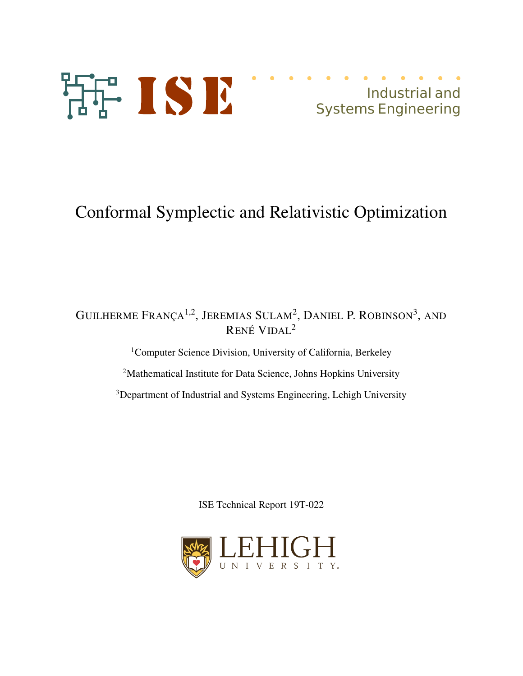

# Conformal Symplectic and Relativistic Optimization

# GUILHERME FRANÇA<sup>1,2</sup>, JEREMIAS SULAM<sup>2</sup>, DANIEL P. ROBINSON<sup>3</sup>, AND RENÉ VIDAL<sup>2</sup>

<sup>1</sup>Computer Science Division, University of California, Berkeley

<sup>2</sup>Mathematical Institute for Data Science, Johns Hopkins University

<sup>3</sup>Department of Industrial and Systems Engineering, Lehigh University

ISE Technical Report 19T-022

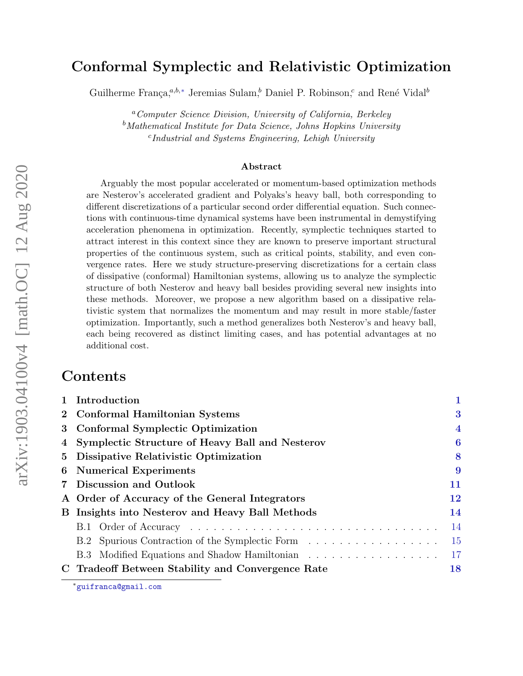# Conformal Symplectic and Relativistic Optimization

Guilherme França,<sup>a,b,∗</sup> Jeremias Sulam,<sup>b</sup> Daniel P. Robinson,<sup>c</sup> and René Vidal<sup>b</sup>

<sup>a</sup>Computer Science Division, University of California, Berkeley  $b$ Mathematical Institute for Data Science, Johns Hopkins University c Industrial and Systems Engineering, Lehigh University

#### Abstract

Arguably the most popular accelerated or momentum-based optimization methods are Nesterov's accelerated gradient and Polyaks's heavy ball, both corresponding to different discretizations of a particular second order differential equation. Such connections with continuous-time dynamical systems have been instrumental in demystifying acceleration phenomena in optimization. Recently, symplectic techniques started to attract interest in this context since they are known to preserve important structural properties of the continuous system, such as critical points, stability, and even convergence rates. Here we study structure-preserving discretizations for a certain class of dissipative (conformal) Hamiltonian systems, allowing us to analyze the symplectic structure of both Nesterov and heavy ball besides providing several new insights into these methods. Moreover, we propose a new algorithm based on a dissipative relativistic system that normalizes the momentum and may result in more stable/faster optimization. Importantly, such a method generalizes both Nesterov's and heavy ball, each being recovered as distinct limiting cases, and has potential advantages at no additional cost.

## Contents

| 1 Introduction                                         |                |
|--------------------------------------------------------|----------------|
| 2 Conformal Hamiltonian Systems                        | 3              |
| 3 Conformal Symplectic Optimization                    | $\overline{4}$ |
| 4 Symplectic Structure of Heavy Ball and Nesterov      | 6              |
| 5 Dissipative Relativistic Optimization                | 8              |
| 6 Numerical Experiments                                | 9              |
| 7 Discussion and Outlook                               | 11             |
| A Order of Accuracy of the General Integrators         | 12             |
| <b>B</b> Insights into Nesterov and Heavy Ball Methods | 14             |
|                                                        | 14             |
| B.2 Spurious Contraction of the Symplectic Form        | 15             |
| B.3 Modified Equations and Shadow Hamiltonian          | <sup>17</sup>  |
| C Tradeoff Between Stability and Convergence Rate      | 18             |
|                                                        |                |

<sup>∗</sup>guifranca@gmail.com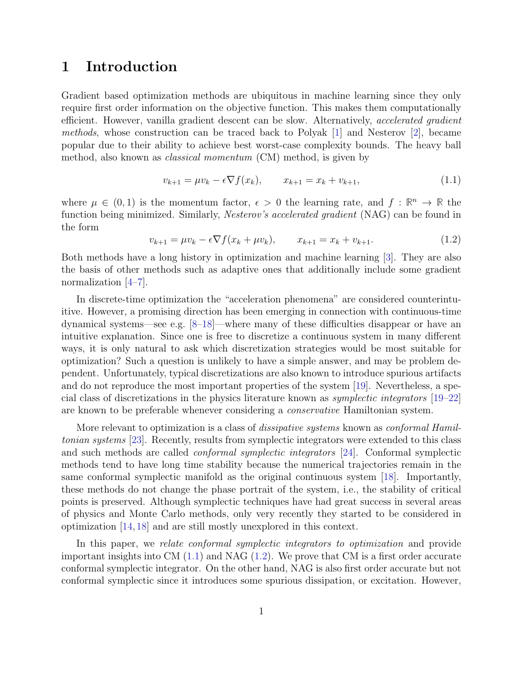#### 1 Introduction

Gradient based optimization methods are ubiquitous in machine learning since they only require first order information on the objective function. This makes them computationally efficient. However, vanilla gradient descent can be slow. Alternatively, *accelerated gradient* methods, whose construction can be traced back to Polyak [1] and Nesterov [2], became popular due to their ability to achieve best worst-case complexity bounds. The heavy ball method, also known as classical momentum (CM) method, is given by

$$
v_{k+1} = \mu v_k - \epsilon \nabla f(x_k), \qquad x_{k+1} = x_k + v_{k+1}, \tag{1.1}
$$

where  $\mu \in (0, 1)$  is the momentum factor,  $\epsilon > 0$  the learning rate, and  $f : \mathbb{R}^n \to \mathbb{R}$  the function being minimized. Similarly, *Nesterov's accelerated gradient* (NAG) can be found in the form

$$
v_{k+1} = \mu v_k - \epsilon \nabla f(x_k + \mu v_k), \qquad x_{k+1} = x_k + v_{k+1}.
$$
 (1.2)

Both methods have a long history in optimization and machine learning [3]. They are also the basis of other methods such as adaptive ones that additionally include some gradient normalization [4–7].

In discrete-time optimization the "acceleration phenomena" are considered counterintuitive. However, a promising direction has been emerging in connection with continuous-time dynamical systems—see e.g. [8–18]—where many of these difficulties disappear or have an intuitive explanation. Since one is free to discretize a continuous system in many different ways, it is only natural to ask which discretization strategies would be most suitable for optimization? Such a question is unlikely to have a simple answer, and may be problem dependent. Unfortunately, typical discretizations are also known to introduce spurious artifacts and do not reproduce the most important properties of the system [19]. Nevertheless, a special class of discretizations in the physics literature known as symplectic integrators [19–22] are known to be preferable whenever considering a conservative Hamiltonian system.

More relevant to optimization is a class of *dissipative systems* known as *conformal Hamil*tonian systems [23]. Recently, results from symplectic integrators were extended to this class and such methods are called conformal symplectic integrators [24]. Conformal symplectic methods tend to have long time stability because the numerical trajectories remain in the same conformal symplectic manifold as the original continuous system [18]. Importantly, these methods do not change the phase portrait of the system, i.e., the stability of critical points is preserved. Although symplectic techniques have had great success in several areas of physics and Monte Carlo methods, only very recently they started to be considered in optimization [14, 18] and are still mostly unexplored in this context.

In this paper, we relate conformal symplectic integrators to optimization and provide important insights into CM  $(1.1)$  and NAG  $(1.2)$ . We prove that CM is a first order accurate conformal symplectic integrator. On the other hand, NAG is also first order accurate but not conformal symplectic since it introduces some spurious dissipation, or excitation. However,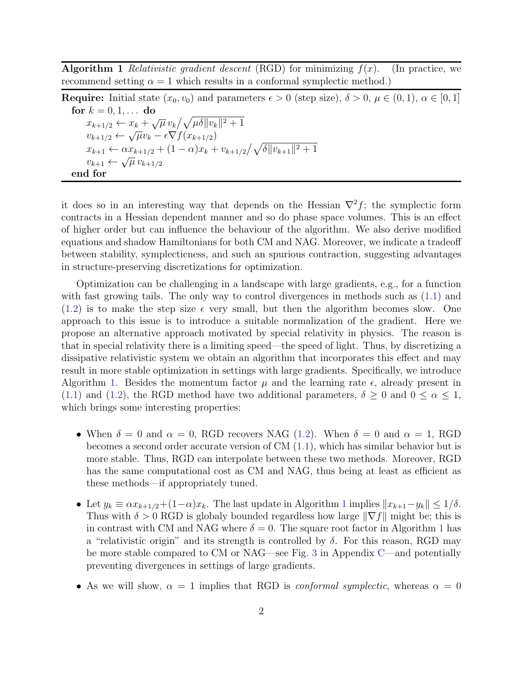**Algorithm 1** Relativistic gradient descent (RGD) for minimizing  $f(x)$ . (In practice, we recommend setting  $\alpha = 1$  which results in a conformal symplectic method.)

**Require:** Initial state  $(x_0, v_0)$  and parameters  $\epsilon > 0$  (step size),  $\delta > 0$ ,  $\mu \in (0, 1)$ ,  $\alpha \in [0, 1]$ for  $k = 0, 1, \ldots$  do  $x_{k+1/2} \leftarrow x_k + \sqrt{\mu} v_k / \sqrt{\mu \delta ||v_k||^2 + 1}$  $v_{k+1/2} \leftarrow \sqrt{\mu}v_k - \epsilon \nabla f(x_{k+1/2})$  $x_{k+1} \leftarrow \alpha x_{k+1/2} + (1 - \alpha)x_k + v_{k+1/2}/\sqrt{\delta ||v_{k+1}||^2 + 1}$  $v_{k+1} \leftarrow \sqrt{\mu} v_{k+1/2}$ end for

it does so in an interesting way that depends on the Hessian  $\nabla^2 f$ ; the symplectic form contracts in a Hessian dependent manner and so do phase space volumes. This is an effect of higher order but can influence the behaviour of the algorithm. We also derive modified equations and shadow Hamiltonians for both CM and NAG. Moreover, we indicate a tradeoff between stability, symplecticness, and such an spurious contraction, suggesting advantages in structure-preserving discretizations for optimization.

Optimization can be challenging in a landscape with large gradients, e.g., for a function with fast growing tails. The only way to control divergences in methods such as (1.1) and  $(1.2)$  is to make the step size  $\epsilon$  very small, but then the algorithm becomes slow. One approach to this issue is to introduce a suitable normalization of the gradient. Here we propose an alternative approach motivated by special relativity in physics. The reason is that in special relativity there is a limiting speed—the speed of light. Thus, by discretizing a dissipative relativistic system we obtain an algorithm that incorporates this effect and may result in more stable optimization in settings with large gradients. Specifically, we introduce Algorithm 1. Besides the momentum factor  $\mu$  and the learning rate  $\epsilon$ , already present in (1.1) and (1.2), the RGD method have two additional parameters,  $\delta \geq 0$  and  $0 \leq \alpha \leq 1$ , which brings some interesting properties:

- When  $\delta = 0$  and  $\alpha = 0$ , RGD recovers NAG (1.2). When  $\delta = 0$  and  $\alpha = 1$ , RGD becomes a second order accurate version of CM (1.1), which has similar behavior but is more stable. Thus, RGD can interpolate between these two methods. Moreover, RGD has the same computational cost as CM and NAG, thus being at least as efficient as these methods—if appropriately tuned.
- Let  $y_k \equiv \alpha x_{k+1/2} + (1-\alpha)x_k$ . The last update in Algorithm 1 implies  $||x_{k+1}-y_k|| \leq 1/\delta$ . Thus with  $\delta > 0$  RGD is globaly bounded regardless how large  $\|\nabla f\|$  might be; this is in contrast with CM and NAG where  $\delta = 0$ . The square root factor in Algorithm 1 has a "relativistic origin" and its strength is controlled by  $\delta$ . For this reason, RGD may be more stable compared to CM or NAG—see Fig. 3 in Appendix C—and potentially preventing divergences in settings of large gradients.
- As we will show,  $\alpha = 1$  implies that RGD is *conformal symplectic*, whereas  $\alpha = 0$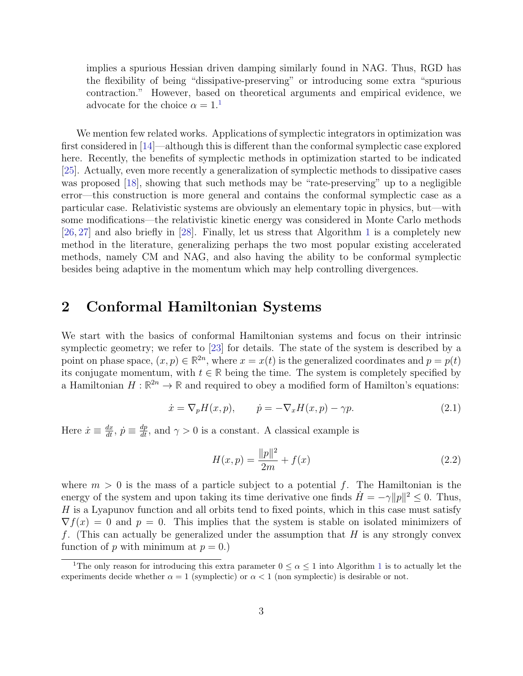implies a spurious Hessian driven damping similarly found in NAG. Thus, RGD has the flexibility of being "dissipative-preserving" or introducing some extra "spurious contraction." However, based on theoretical arguments and empirical evidence, we advocate for the choice  $\alpha = 1$ .<sup>1</sup>

We mention few related works. Applications of symplectic integrators in optimization was first considered in [14]—although this is different than the conformal symplectic case explored here. Recently, the benefits of symplectic methods in optimization started to be indicated [25]. Actually, even more recently a generalization of symplectic methods to dissipative cases was proposed [18], showing that such methods may be "rate-preserving" up to a negligible error—this construction is more general and contains the conformal symplectic case as a particular case. Relativistic systems are obviously an elementary topic in physics, but—with some modifications—the relativistic kinetic energy was considered in Monte Carlo methods [26, 27] and also briefly in [28]. Finally, let us stress that Algorithm 1 is a completely new method in the literature, generalizing perhaps the two most popular existing accelerated methods, namely CM and NAG, and also having the ability to be conformal symplectic besides being adaptive in the momentum which may help controlling divergences.

# 2 Conformal Hamiltonian Systems

We start with the basics of conformal Hamiltonian systems and focus on their intrinsic symplectic geometry; we refer to [23] for details. The state of the system is described by a point on phase space,  $(x, p) \in \mathbb{R}^{2n}$ , where  $x = x(t)$  is the generalized coordinates and  $p = p(t)$ its conjugate momentum, with  $t \in \mathbb{R}$  being the time. The system is completely specified by a Hamiltonian  $H : \mathbb{R}^{2n} \to \mathbb{R}$  and required to obey a modified form of Hamilton's equations:

$$
\dot{x} = \nabla_p H(x, p), \qquad \dot{p} = -\nabla_x H(x, p) - \gamma p. \tag{2.1}
$$

Here  $\dot{x} \equiv \frac{dx}{dt}$ ,  $\dot{p} \equiv \frac{dp}{dt}$ , and  $\gamma > 0$  is a constant. A classical example is

$$
H(x,p) = \frac{\|p\|^2}{2m} + f(x)
$$
\n(2.2)

where  $m > 0$  is the mass of a particle subject to a potential f. The Hamiltonian is the energy of the system and upon taking its time derivative one finds  $\dot{H} = -\gamma ||p||^2 \le 0$ . Thus,  $H$  is a Lyapunov function and all orbits tend to fixed points, which in this case must satisfy  $\nabla f(x) = 0$  and  $p = 0$ . This implies that the system is stable on isolated minimizers of f. (This can actually be generalized under the assumption that  $H$  is any strongly convex function of p with minimum at  $p = 0$ .

<sup>&</sup>lt;sup>1</sup>The only reason for introducing this extra parameter  $0 \le \alpha \le 1$  into Algorithm 1 is to actually let the experiments decide whether  $\alpha = 1$  (symplectic) or  $\alpha < 1$  (non symplectic) is desirable or not.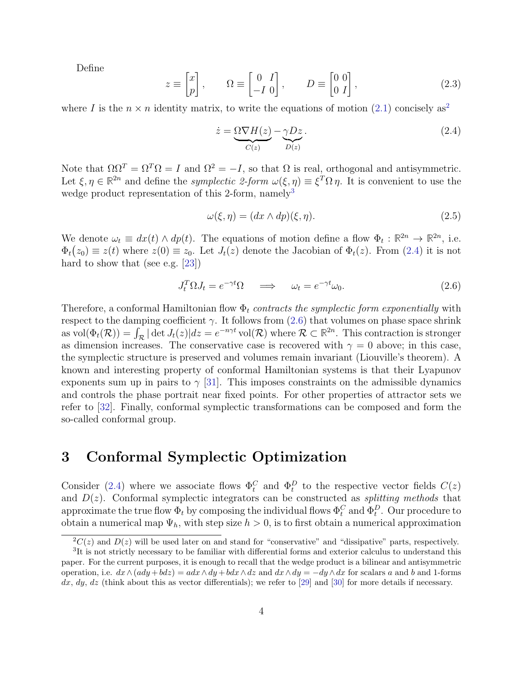Define

$$
z \equiv \begin{bmatrix} x \\ p \end{bmatrix}, \qquad \Omega \equiv \begin{bmatrix} 0 & I \\ -I & 0 \end{bmatrix}, \qquad D \equiv \begin{bmatrix} 0 & 0 \\ 0 & I \end{bmatrix}, \tag{2.3}
$$

where I is the  $n \times n$  identity matrix, to write the equations of motion (2.1) concisely as<sup>2</sup>

$$
\dot{z} = \underbrace{\Omega \nabla H(z)}_{C(z)} - \underbrace{\gamma D z}_{D(z)}.\tag{2.4}
$$

Note that  $\Omega \Omega^T = \Omega^T \Omega = I$  and  $\Omega^2 = -I$ , so that  $\Omega$  is real, orthogonal and antisymmetric. Let  $\xi, \eta \in \mathbb{R}^{2n}$  and define the *symplectic 2-form*  $\omega(\xi, \eta) \equiv \xi^T \Omega \eta$ . It is convenient to use the wedge product representation of this 2-form,  $namely^3$ 

$$
\omega(\xi, \eta) = (dx \wedge dp)(\xi, \eta). \tag{2.5}
$$

We denote  $\omega_t \equiv dx(t) \wedge dp(t)$ . The equations of motion define a flow  $\Phi_t : \mathbb{R}^{2n} \to \mathbb{R}^{2n}$ , i.e.  $\Phi_t(z_0) \equiv z(t)$  where  $z(0) \equiv z_0$ . Let  $J_t(z)$  denote the Jacobian of  $\Phi_t(z)$ . From (2.4) it is not hard to show that (see e.g. [23])

$$
J_t^T \Omega J_t = e^{-\gamma t} \Omega \quad \Longrightarrow \quad \omega_t = e^{-\gamma t} \omega_0. \tag{2.6}
$$

Therefore, a conformal Hamiltonian flow  $\Phi_t$  contracts the symplectic form exponentially with respect to the damping coefficient  $\gamma$ . It follows from (2.6) that volumes on phase space shrink as  $\text{vol}(\Phi_t(\mathcal{R})) = \int_{\mathcal{R}} |\det J_t(z)| dz = e^{-n\gamma t} \text{vol}(\mathcal{R})$  where  $\mathcal{R} \subset \mathbb{R}^{2n}$ . This contraction is stronger as dimension increases. The conservative case is recovered with  $\gamma = 0$  above; in this case, the symplectic structure is preserved and volumes remain invariant (Liouville's theorem). A known and interesting property of conformal Hamiltonian systems is that their Lyapunov exponents sum up in pairs to  $\gamma$  [31]. This imposes constraints on the admissible dynamics and controls the phase portrait near fixed points. For other properties of attractor sets we refer to [32]. Finally, conformal symplectic transformations can be composed and form the so-called conformal group.

#### 3 Conformal Symplectic Optimization

Consider (2.4) where we associate flows  $\Phi_t^C$  and  $\Phi_t^D$  to the respective vector fields  $C(z)$ and  $D(z)$ . Conformal symplectic integrators can be constructed as *splitting methods* that approximate the true flow  $\Phi_t$  by composing the individual flows  $\Phi_t^C$  and  $\Phi_t^D$ . Our procedure to obtain a numerical map  $\Psi_h$ , with step size  $h > 0$ , is to first obtain a numerical approximation

 ${}^{2}C(z)$  and  $D(z)$  will be used later on and stand for "conservative" and "dissipative" parts, respectively.

<sup>&</sup>lt;sup>3</sup>It is not strictly necessary to be familiar with differential forms and exterior calculus to understand this paper. For the current purposes, it is enough to recall that the wedge product is a bilinear and antisymmetric operation, i.e.  $dx \wedge (ady + bdz) = adx \wedge dy + bdx \wedge dz$  and  $dx \wedge dy = -dy \wedge dx$  for scalars a and b and 1-forms  $dx, dy, dz$  (think about this as vector differentials); we refer to [29] and [30] for more details if necessary.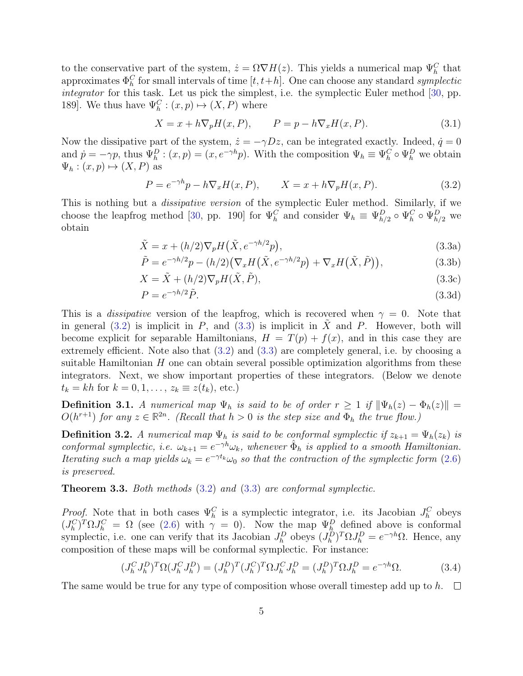to the conservative part of the system,  $\dot{z} = \Omega \nabla H(z)$ . This yields a numerical map  $\Psi_h^C$  that approximates  $\Phi_h^C$  for small intervals of time  $[t, t+h]$ . One can choose any standard symplectic integrator for this task. Let us pick the simplest, i.e. the symplectic Euler method [30, pp. 189]. We thus have  $\Psi_h^C : (x, p) \mapsto (X, P)$  where

$$
X = x + h \nabla_p H(x, P), \qquad P = p - h \nabla_x H(x, P). \tag{3.1}
$$

Now the dissipative part of the system,  $\dot{z} = -\gamma Dz$ , can be integrated exactly. Indeed,  $\dot{q} = 0$ and  $\dot{p} = -\gamma p$ , thus  $\Psi_h^D$ :  $(x, p) = (x, e^{-\gamma h}p)$ . With the composition  $\Psi_h \equiv \Psi_h^C \circ \Psi_h^D$  we obtain  $\Psi_h : (x, p) \mapsto (X, P)$  as

$$
P = e^{-\gamma h}p - h\nabla_x H(x, P), \qquad X = x + h\nabla_p H(x, P). \tag{3.2}
$$

This is nothing but a *dissipative version* of the symplectic Euler method. Similarly, if we choose the leapfrog method [30, pp. 190] for  $\Psi_h^C$  and consider  $\Psi_h \equiv \Psi_{h/2}^D \circ \Psi_h^C \circ \Psi_{h/2}^D$  we obtain

$$
\tilde{X} = x + (h/2)\nabla_p H(\tilde{X}, e^{-\gamma h/2}p),\tag{3.3a}
$$

$$
\tilde{P} = e^{-\gamma h/2}p - (h/2)\left(\nabla_x H\left(\tilde{X}, e^{-\gamma h/2}p\right) + \nabla_x H\left(\tilde{X}, \tilde{P}\right)\right),\tag{3.3b}
$$

$$
X = \tilde{X} + (h/2)\nabla_p H(\tilde{X}, \tilde{P}), \qquad (3.3c)
$$

$$
P = e^{-\gamma h/2} \tilde{P}.
$$
\n(3.3d)

This is a *dissipative* version of the leapfrog, which is recovered when  $\gamma = 0$ . Note that in general (3.2) is implicit in P, and (3.3) is implicit in  $\tilde{X}$  and P. However, both will become explicit for separable Hamiltonians,  $H = T(p) + f(x)$ , and in this case they are extremely efficient. Note also that (3.2) and (3.3) are completely general, i.e. by choosing a suitable Hamiltonian  $H$  one can obtain several possible optimization algorithms from these integrators. Next, we show important properties of these integrators. (Below we denote  $t_k = kh$  for  $k = 0, 1, \ldots, z_k \equiv z(t_k)$ , etc.)

**Definition 3.1.** A numerical map  $\Psi_h$  is said to be of order  $r \geq 1$  if  $\|\Psi_h(z) - \Phi_h(z)\|$  =  $O(h^{r+1})$  for any  $z \in \mathbb{R}^{2n}$ . (Recall that  $h > 0$  is the step size and  $\Phi_h$  the true flow.)

**Definition 3.2.** A numerical map  $\Psi_h$  is said to be conformal symplectic if  $z_{k+1} = \Psi_h(z_k)$  is conformal symplectic, i.e.  $\omega_{k+1} = e^{-\gamma h}\omega_k$ , whenever  $\hat{\Phi}_h$  is applied to a smooth Hamiltonian. Iterating such a map yields  $\omega_k = e^{-\gamma t_k} \omega_0$  so that the contraction of the symplectic form (2.6) is preserved.

Theorem 3.3. Both methods (3.2) and (3.3) are conformal symplectic.

*Proof.* Note that in both cases  $\Psi_h^C$  is a symplectic integrator, i.e. its Jacobian  $J_h^C$  obeys  $(J_h^C)^T \Omega J_h^C = \Omega$  (see (2.6) with  $\gamma = 0$ ). Now the map  $\Psi_h^D$  defined above is conformal symplectic, i.e. one can verify that its Jacobian  $J_h^D$  obeys  $(J_h^D)^T \Omega J_h^D = e^{-\gamma h} \Omega$ . Hence, any composition of these maps will be conformal symplectic. For instance:

$$
(J_h^C J_h^D)^T \Omega (J_h^C J_h^D) = (J_h^D)^T (J_h^C)^T \Omega J_h^C J_h^D = (J_h^D)^T \Omega J_h^D = e^{-\gamma h} \Omega.
$$
 (3.4)

The same would be true for any type of composition whose overall timestep add up to h.  $\Box$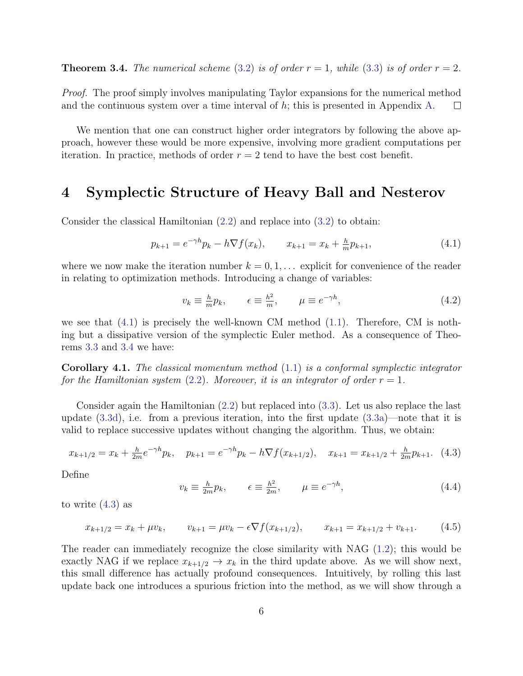**Theorem 3.4.** The numerical scheme (3.2) is of order  $r = 1$ , while (3.3) is of order  $r = 2$ .

Proof. The proof simply involves manipulating Taylor expansions for the numerical method and the continuous system over a time interval of  $h$ ; this is presented in Appendix A.  $\Box$ 

We mention that one can construct higher order integrators by following the above approach, however these would be more expensive, involving more gradient computations per iteration. In practice, methods of order  $r = 2$  tend to have the best cost benefit.

## 4 Symplectic Structure of Heavy Ball and Nesterov

Consider the classical Hamiltonian (2.2) and replace into (3.2) to obtain:

$$
p_{k+1} = e^{-\gamma h} p_k - h \nabla f(x_k), \qquad x_{k+1} = x_k + \frac{h}{m} p_{k+1}, \tag{4.1}
$$

where we now make the iteration number  $k = 0, 1, \ldots$  explicit for convenience of the reader in relating to optimization methods. Introducing a change of variables:

$$
v_k \equiv \frac{h}{m} p_k, \qquad \epsilon \equiv \frac{h^2}{m}, \qquad \mu \equiv e^{-\gamma h}, \tag{4.2}
$$

we see that  $(4.1)$  is precisely the well-known CM method  $(1.1)$ . Therefore, CM is nothing but a dissipative version of the symplectic Euler method. As a consequence of Theorems 3.3 and 3.4 we have:

**Corollary 4.1.** The classical momentum method  $(1.1)$  is a conformal symplectic integrator for the Hamiltonian system (2.2). Moreover, it is an integrator of order  $r = 1$ .

Consider again the Hamiltonian (2.2) but replaced into (3.3). Let us also replace the last update (3.3d), i.e. from a previous iteration, into the first update (3.3a)—note that it is valid to replace successive updates without changing the algorithm. Thus, we obtain:

$$
x_{k+1/2} = x_k + \frac{h}{2m} e^{-\gamma h} p_k, \quad p_{k+1} = e^{-\gamma h} p_k - h \nabla f(x_{k+1/2}), \quad x_{k+1} = x_{k+1/2} + \frac{h}{2m} p_{k+1}. \tag{4.3}
$$

Define

$$
v_k \equiv \frac{h}{2m} p_k, \qquad \epsilon \equiv \frac{h^2}{2m}, \qquad \mu \equiv e^{-\gamma h}, \tag{4.4}
$$

to write (4.3) as

$$
x_{k+1/2} = x_k + \mu v_k, \qquad v_{k+1} = \mu v_k - \epsilon \nabla f(x_{k+1/2}), \qquad x_{k+1} = x_{k+1/2} + v_{k+1}.
$$
 (4.5)

The reader can immediately recognize the close similarity with NAG (1.2); this would be exactly NAG if we replace  $x_{k+1/2} \to x_k$  in the third update above. As we will show next, this small difference has actually profound consequences. Intuitively, by rolling this last update back one introduces a spurious friction into the method, as we will show through a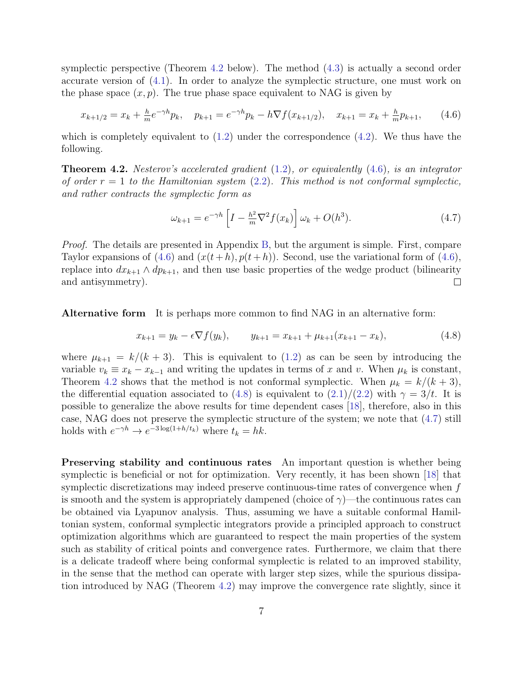symplectic perspective (Theorem 4.2 below). The method (4.3) is actually a second order accurate version of (4.1). In order to analyze the symplectic structure, one must work on the phase space  $(x, p)$ . The true phase space equivalent to NAG is given by

$$
x_{k+1/2} = x_k + \frac{h}{m} e^{-\gamma h} p_k, \quad p_{k+1} = e^{-\gamma h} p_k - h \nabla f(x_{k+1/2}), \quad x_{k+1} = x_k + \frac{h}{m} p_{k+1}, \tag{4.6}
$$

which is completely equivalent to  $(1.2)$  under the correspondence  $(4.2)$ . We thus have the following.

**Theorem 4.2.** Nesterov's accelerated gradient  $(1.2)$ , or equivalently  $(4.6)$ , is an integrator of order  $r = 1$  to the Hamiltonian system (2.2). This method is not conformal symplectic, and rather contracts the symplectic form as

$$
\omega_{k+1} = e^{-\gamma h} \left[ I - \frac{h^2}{m} \nabla^2 f(x_k) \right] \omega_k + O(h^3). \tag{4.7}
$$

Proof. The details are presented in Appendix B, but the argument is simple. First, compare Taylor expansions of (4.6) and  $(x(t+h), p(t+h))$ . Second, use the variational form of (4.6), replace into  $dx_{k+1} \wedge dp_{k+1}$ , and then use basic properties of the wedge product (bilinearity and antisymmetry). and antisymmetry).

Alternative form It is perhaps more common to find NAG in an alternative form:

$$
x_{k+1} = y_k - \epsilon \nabla f(y_k), \qquad y_{k+1} = x_{k+1} + \mu_{k+1}(x_{k+1} - x_k), \tag{4.8}
$$

where  $\mu_{k+1} = k/(k+3)$ . This is equivalent to (1.2) as can be seen by introducing the variable  $v_k \equiv x_k - x_{k-1}$  and writing the updates in terms of x and v. When  $\mu_k$  is constant, Theorem 4.2 shows that the method is not conformal symplectic. When  $\mu_k = k/(k+3)$ , the differential equation associated to (4.8) is equivalent to  $(2.1)/(2.2)$  with  $\gamma = 3/t$ . It is possible to generalize the above results for time dependent cases [18], therefore, also in this case, NAG does not preserve the symplectic structure of the system; we note that (4.7) still holds with  $e^{-\gamma h} \to e^{-3\log(1+h/t_k)}$  where  $t_k = hk$ .

Preserving stability and continuous rates An important question is whether being symplectic is beneficial or not for optimization. Very recently, it has been shown [18] that symplectic discretizations may indeed preserve continuous-time rates of convergence when f is smooth and the system is appropriately dampened (choice of  $\gamma$ )—the continuous rates can be obtained via Lyapunov analysis. Thus, assuming we have a suitable conformal Hamiltonian system, conformal symplectic integrators provide a principled approach to construct optimization algorithms which are guaranteed to respect the main properties of the system such as stability of critical points and convergence rates. Furthermore, we claim that there is a delicate tradeoff where being conformal symplectic is related to an improved stability, in the sense that the method can operate with larger step sizes, while the spurious dissipation introduced by NAG (Theorem 4.2) may improve the convergence rate slightly, since it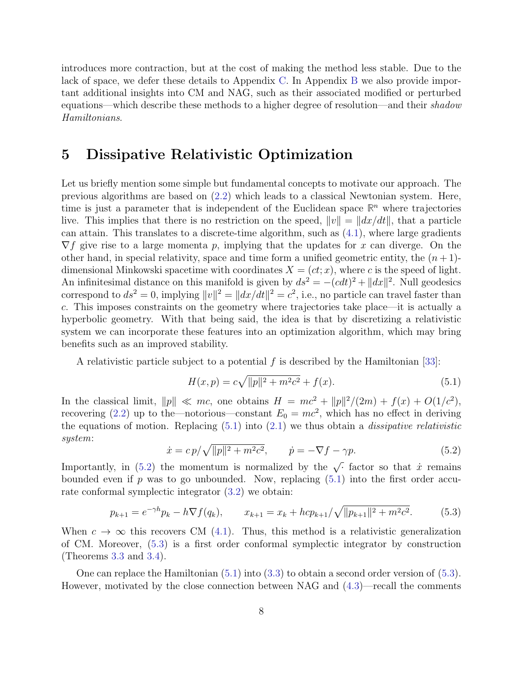introduces more contraction, but at the cost of making the method less stable. Due to the lack of space, we defer these details to Appendix C. In Appendix B we also provide important additional insights into CM and NAG, such as their associated modified or perturbed equations—which describe these methods to a higher degree of resolution—and their shadow Hamiltonians.

## 5 Dissipative Relativistic Optimization

Let us briefly mention some simple but fundamental concepts to motivate our approach. The previous algorithms are based on (2.2) which leads to a classical Newtonian system. Here, time is just a parameter that is independent of the Euclidean space  $\mathbb{R}^n$  where trajectories live. This implies that there is no restriction on the speed,  $||v|| = ||dx/dt||$ , that a particle can attain. This translates to a discrete-time algorithm, such as  $(4.1)$ , where large gradients  $\nabla f$  give rise to a large momenta p, implying that the updates for x can diverge. On the other hand, in special relativity, space and time form a unified geometric entity, the  $(n+1)$ dimensional Minkowski spacetime with coordinates  $X = (ct; x)$ , where c is the speed of light. An infinitesimal distance on this manifold is given by  $ds^2 = -(cdt)^2 + ||dx||^2$ . Null geodesics correspond to  $ds^2 = 0$ , implying  $||v||^2 = ||dx/dt||^2 = c^2$ , i.e., no particle can travel faster than c. This imposes constraints on the geometry where trajectories take place—it is actually a hyperbolic geometry. With that being said, the idea is that by discretizing a relativistic system we can incorporate these features into an optimization algorithm, which may bring benefits such as an improved stability.

A relativistic particle subject to a potential f is described by the Hamiltonian [33]:

$$
H(x,p) = c\sqrt{\|p\|^2 + m^2c^2} + f(x).
$$
\n(5.1)

In the classical limit,  $||p|| \ll mc$ , one obtains  $H = mc^2 + ||p||^2/(2m) + f(x) + O(1/c^2)$ , recovering (2.2) up to the—notorious—constant  $E_0 = mc^2$ , which has no effect in deriving the equations of motion. Replacing  $(5.1)$  into  $(2.1)$  we thus obtain a *dissipative relativistic* system:

$$
\dot{x} = cp/\sqrt{\|p\|^2 + m^2c^2}, \qquad \dot{p} = -\nabla f - \gamma p. \tag{5.2}
$$

Importantly, in (5.2) the momentum is normalized by the  $\sqrt{\cdot}$  factor so that  $\dot{x}$  remains bounded even if p was to go unbounded. Now, replacing  $(5.1)$  into the first order accurate conformal symplectic integrator (3.2) we obtain:

$$
p_{k+1} = e^{-\gamma h} p_k - h \nabla f(q_k), \qquad x_{k+1} = x_k + h c p_{k+1} / \sqrt{\|p_{k+1}\|^2 + m^2 c^2}.
$$
 (5.3)

When  $c \to \infty$  this recovers CM (4.1). Thus, this method is a relativistic generalization of CM. Moreover, (5.3) is a first order conformal symplectic integrator by construction (Theorems 3.3 and 3.4).

One can replace the Hamiltonian (5.1) into (3.3) to obtain a second order version of (5.3). However, motivated by the close connection between NAG and (4.3)—recall the comments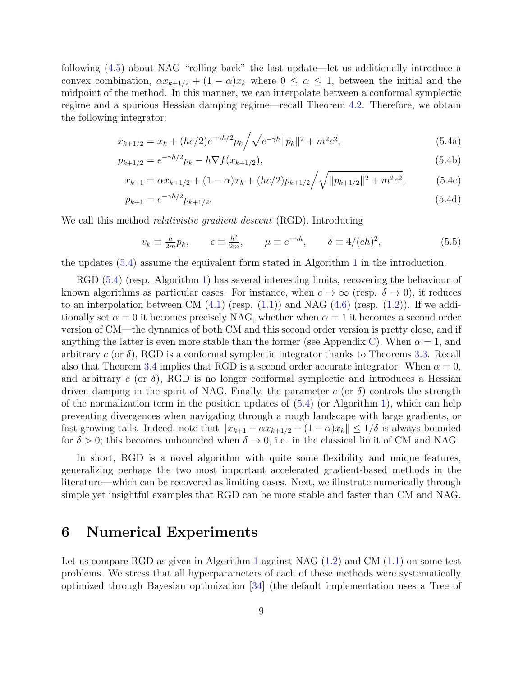following (4.5) about NAG "rolling back" the last update—let us additionally introduce a convex combination,  $\alpha x_{k+1/2} + (1 - \alpha)x_k$  where  $0 \leq \alpha \leq 1$ , between the initial and the midpoint of the method. In this manner, we can interpolate between a conformal symplectic regime and a spurious Hessian damping regime—recall Theorem 4.2. Therefore, we obtain the following integrator:

$$
x_{k+1/2} = x_k + (hc/2)e^{-\gamma h/2}p_k \left/ \sqrt{e^{-\gamma h} \|p_k\|^2 + m^2 c^2},\right.\tag{5.4a}
$$

$$
p_{k+1/2} = e^{-\gamma h/2} p_k - h \nabla f(x_{k+1/2}), \tag{5.4b}
$$

$$
x_{k+1} = \alpha x_{k+1/2} + (1 - \alpha)x_k + (hc/2)p_{k+1/2} / \sqrt{\|p_{k+1/2}\|^2 + m^2 c^2},
$$
 (5.4c)

$$
p_{k+1} = e^{-\gamma h/2} p_{k+1/2}.
$$
\n(5.4d)

We call this method *relativistic gradient descent* (RGD). Introducing

$$
v_k \equiv \frac{h}{2m} p_k, \qquad \epsilon \equiv \frac{h^2}{2m}, \qquad \mu \equiv e^{-\gamma h}, \qquad \delta \equiv 4/(ch)^2,
$$
 (5.5)

the updates (5.4) assume the equivalent form stated in Algorithm 1 in the introduction.

RGD (5.4) (resp. Algorithm 1) has several interesting limits, recovering the behaviour of known algorithms as particular cases. For instance, when  $c \to \infty$  (resp.  $\delta \to 0$ ), it reduces to an interpolation between CM  $(4.1)$  (resp.  $(1.1)$ ) and NAG  $(4.6)$  (resp.  $(1.2)$ ). If we additionally set  $\alpha = 0$  it becomes precisely NAG, whether when  $\alpha = 1$  it becomes a second order version of CM—the dynamics of both CM and this second order version is pretty close, and if anything the latter is even more stable than the former (see Appendix C). When  $\alpha = 1$ , and arbitrary c (or  $\delta$ ), RGD is a conformal symplectic integrator thanks to Theorems 3.3. Recall also that Theorem 3.4 implies that RGD is a second order accurate integrator. When  $\alpha = 0$ , and arbitrary c (or  $\delta$ ), RGD is no longer conformal symplectic and introduces a Hessian driven damping in the spirit of NAG. Finally, the parameter c (or  $\delta$ ) controls the strength of the normalization term in the position updates of  $(5.4)$  (or Algorithm 1), which can help preventing divergences when navigating through a rough landscape with large gradients, or fast growing tails. Indeed, note that  $||x_{k+1} - \alpha x_{k+1/2} - (1 - \alpha)x_k|| \leq 1/\delta$  is always bounded for  $\delta > 0$ ; this becomes unbounded when  $\delta \to 0$ , i.e. in the classical limit of CM and NAG.

In short, RGD is a novel algorithm with quite some flexibility and unique features, generalizing perhaps the two most important accelerated gradient-based methods in the literature—which can be recovered as limiting cases. Next, we illustrate numerically through simple yet insightful examples that RGD can be more stable and faster than CM and NAG.

## 6 Numerical Experiments

Let us compare RGD as given in Algorithm 1 against NAG (1.2) and CM (1.1) on some test problems. We stress that all hyperparameters of each of these methods were systematically optimized through Bayesian optimization [34] (the default implementation uses a Tree of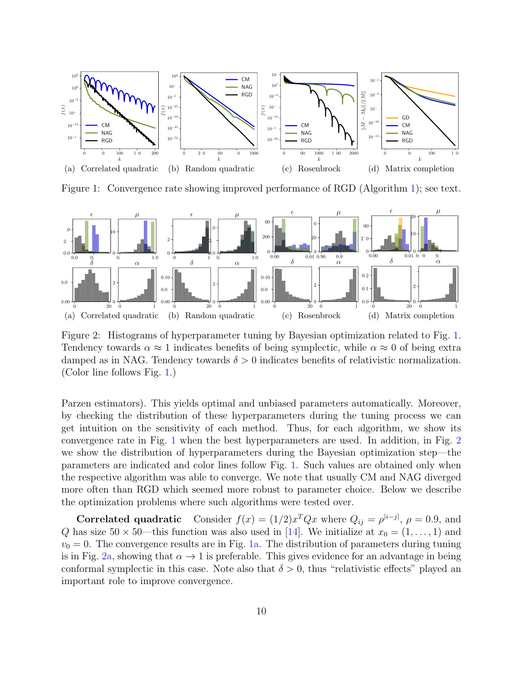

Figure 1: Convergence rate showing improved performance of RGD (Algorithm 1); see text.



Figure 2: Histograms of hyperparameter tuning by Bayesian optimization related to Fig. 1. Tendency towards  $\alpha \approx 1$  indicates benefits of being symplectic, while  $\alpha \approx 0$  of being extra damped as in NAG. Tendency towards  $\delta > 0$  indicates benefits of relativistic normalization. (Color line follows Fig. 1.)

Parzen estimators). This yields optimal and unbiased parameters automatically. Moreover, by checking the distribution of these hyperparameters during the tuning process we can get intuition on the sensitivity of each method. Thus, for each algorithm, we show its convergence rate in Fig. 1 when the best hyperparameters are used. In addition, in Fig. 2 we show the distribution of hyperparameters during the Bayesian optimization step—the parameters are indicated and color lines follow Fig. 1. Such values are obtained only when the respective algorithm was able to converge. We note that usually CM and NAG diverged more often than RGD which seemed more robust to parameter choice. Below we describe the optimization problems where such algorithms were tested over.

**Correlated quadratic** Consider  $f(x) = (1/2)x^T Q x$  where  $Q_{ij} = \rho^{|i-j|}$ ,  $\rho = 0.9$ , and Q has size  $50 \times 50$ —this function was also used in [14]. We initialize at  $x_0 = (1, \ldots, 1)$  and  $v_0 = 0$ . The convergence results are in Fig. 1a. The distribution of parameters during tuning is in Fig. 2a, showing that  $\alpha \to 1$  is preferable. This gives evidence for an advantage in being conformal symplectic in this case. Note also that  $\delta > 0$ , thus "relativistic effects" played an important role to improve convergence.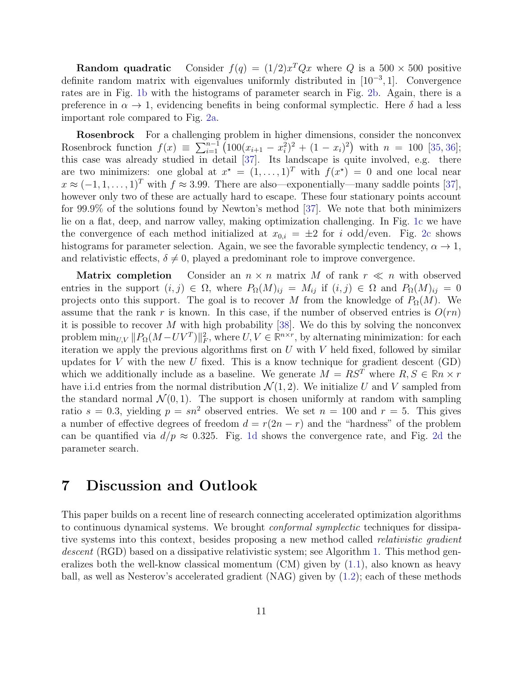**Random quadratic** Consider  $f(q) = (1/2)x^T Q x$  where Q is a 500  $\times$  500 positive definite random matrix with eigenvalues uniformly distributed in  $[10^{-3}, 1]$ . Convergence rates are in Fig. 1b with the histograms of parameter search in Fig. 2b. Again, there is a preference in  $\alpha \to 1$ , evidencing benefits in being conformal symplectic. Here  $\delta$  had a less important role compared to Fig. 2a.

**Rosenbrock** For a challenging problem in higher dimensions, consider the nonconvex Rosenbrock function  $f(x) \equiv \sum_{i=1}^{n-1} (100(x_{i+1} - x_i^2)^2 + (1 - x_i)^2)$  with  $n = 100$  [35, 36]; this case was already studied in detail [37]. Its landscape is quite involved, e.g. there are two minimizers: one global at  $x^* = (1, \ldots, 1)^T$  with  $f(x^*) = 0$  and one local near  $x \approx (-1, 1, \ldots, 1)^T$  with  $f \approx 3.99$ . There are also—exponentially—many saddle points [37], however only two of these are actually hard to escape. These four stationary points account for 99.9% of the solutions found by Newton's method [37]. We note that both minimizers lie on a flat, deep, and narrow valley, making optimization challenging. In Fig. 1c we have the convergence of each method initialized at  $x_{0,i} = \pm 2$  for i odd/even. Fig. 2c shows histograms for parameter selection. Again, we see the favorable symplectic tendency,  $\alpha \to 1$ , and relativistic effects,  $\delta \neq 0$ , played a predominant role to improve convergence.

**Matrix completion** Consider an  $n \times n$  matrix M of rank  $r \ll n$  with observed entries in the support  $(i, j) \in \Omega$ , where  $P_{\Omega}(M)_{ij} = M_{ij}$  if  $(i, j) \in \Omega$  and  $P_{\Omega}(M)_{ij} = 0$ projects onto this support. The goal is to recover M from the knowledge of  $P_{\Omega}(M)$ . We assume that the rank r is known. In this case, if the number of observed entries is  $O(rn)$ it is possible to recover M with high probability  $[38]$ . We do this by solving the nonconvex problem  $\min_{U,V} ||P_{\Omega}(M - UV^T)||_F^2$ , where  $U, V \in \mathbb{R}^{n \times r}$ , by alternating minimization: for each iteration we apply the previous algorithms first on  $U$  with  $V$  held fixed, followed by similar updates for V with the new U fixed. This is a know technique for gradient descent  $(GD)$ which we additionally include as a baseline. We generate  $M = RS^T$  where  $R, S \in \mathbb{R}^n \times r$ have i.i.d entries from the normal distribution  $\mathcal{N}(1, 2)$ . We initialize U and V sampled from the standard normal  $\mathcal{N}(0, 1)$ . The support is chosen uniformly at random with sampling ratio  $s = 0.3$ , yielding  $p = sn^2$  observed entries. We set  $n = 100$  and  $r = 5$ . This gives a number of effective degrees of freedom  $d = r(2n - r)$  and the "hardness" of the problem can be quantified via  $d/p \approx 0.325$ . Fig. 1d shows the convergence rate, and Fig. 2d the parameter search.

#### 7 Discussion and Outlook

This paper builds on a recent line of research connecting accelerated optimization algorithms to continuous dynamical systems. We brought *conformal symplectic* techniques for dissipative systems into this context, besides proposing a new method called *relativistic gradient* descent (RGD) based on a dissipative relativistic system; see Algorithm 1. This method generalizes both the well-know classical momentum  $(CM)$  given by  $(1.1)$ , also known as heavy ball, as well as Nesterov's accelerated gradient (NAG) given by (1.2); each of these methods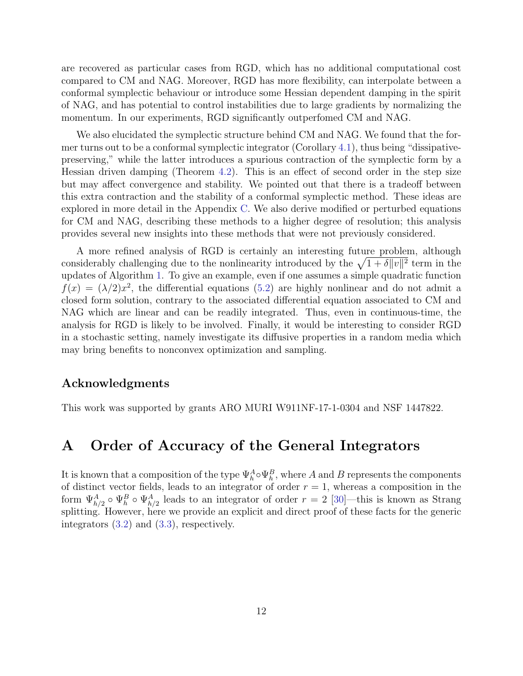are recovered as particular cases from RGD, which has no additional computational cost compared to CM and NAG. Moreover, RGD has more flexibility, can interpolate between a conformal symplectic behaviour or introduce some Hessian dependent damping in the spirit of NAG, and has potential to control instabilities due to large gradients by normalizing the momentum. In our experiments, RGD significantly outperfomed CM and NAG.

We also elucidated the symplectic structure behind CM and NAG. We found that the former turns out to be a conformal symplectic integrator (Corollary 4.1), thus being "dissipativepreserving," while the latter introduces a spurious contraction of the symplectic form by a Hessian driven damping (Theorem 4.2). This is an effect of second order in the step size but may affect convergence and stability. We pointed out that there is a tradeoff between this extra contraction and the stability of a conformal symplectic method. These ideas are explored in more detail in the Appendix C. We also derive modified or perturbed equations for CM and NAG, describing these methods to a higher degree of resolution; this analysis provides several new insights into these methods that were not previously considered.

A more refined analysis of RGD is certainly an interesting future problem, although considerably challenging due to the nonlinearity introduced by the  $\sqrt{1+\delta||v||^2}$  term in the updates of Algorithm 1. To give an example, even if one assumes a simple quadratic function  $f(x) = (\lambda/2)x^2$ , the differential equations (5.2) are highly nonlinear and do not admit a closed form solution, contrary to the associated differential equation associated to CM and NAG which are linear and can be readily integrated. Thus, even in continuous-time, the analysis for RGD is likely to be involved. Finally, it would be interesting to consider RGD in a stochastic setting, namely investigate its diffusive properties in a random media which may bring benefits to nonconvex optimization and sampling.

#### Acknowledgments

This work was supported by grants ARO MURI W911NF-17-1-0304 and NSF 1447822.

#### A Order of Accuracy of the General Integrators

It is known that a composition of the type  $\Psi_h^A \circ \Psi_h^B$ , where A and B represents the components of distinct vector fields, leads to an integrator of order  $r = 1$ , whereas a composition in the form  $\Psi_{h/2}^A \circ \Psi_h^B \circ \Psi_{h/2}^A$  leads to an integrator of order  $r = 2$  [30]—this is known as Strang splitting. However, here we provide an explicit and direct proof of these facts for the generic integrators (3.2) and (3.3), respectively.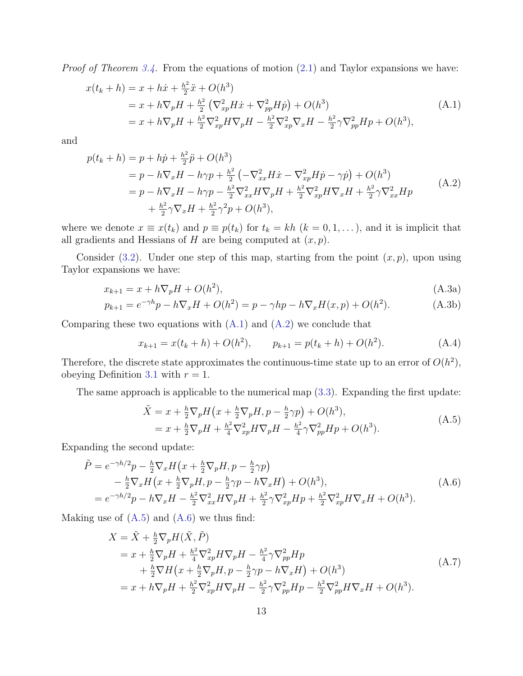*Proof of Theorem 3.4.* From the equations of motion  $(2.1)$  and Taylor expansions we have:

$$
x(t_k + h) = x + h\dot{x} + \frac{h^2}{2}\ddot{x} + O(h^3)
$$
  
=  $x + h\nabla_p H + \frac{h^2}{2} (\nabla_{xp}^2 H \dot{x} + \nabla_{pp}^2 H \dot{p}) + O(h^3)$   
=  $x + h\nabla_p H + \frac{h^2}{2} \nabla_{xp}^2 H \nabla_p H - \frac{h^2}{2} \nabla_{xp}^2 \nabla_x H - \frac{h^2}{2} \gamma \nabla_{pp}^2 H p + O(h^3),$  (A.1)

and

$$
p(t_k + h) = p + h\dot{p} + \frac{h^2}{2}\ddot{p} + O(h^3)
$$
  
=  $p - h\nabla_x H - h\gamma p + \frac{h^2}{2} \left( -\nabla_{xx}^2 H \dot{x} - \nabla_{xp}^2 H \dot{p} - \gamma \dot{p} \right) + O(h^3)$   
=  $p - h\nabla_x H - h\gamma p - \frac{h^2}{2}\nabla_{xx}^2 H \nabla_p H + \frac{h^2}{2}\nabla_{xp}^2 H \nabla_x H + \frac{h^2}{2}\gamma \nabla_{xx}^2 H p$   
+  $\frac{h^2}{2}\gamma \nabla_x H + \frac{h^2}{2}\gamma^2 p + O(h^3),$  (A.2)

where we denote  $x \equiv x(t_k)$  and  $p \equiv p(t_k)$  for  $t_k = kh$   $(k = 0, 1, \ldots)$ , and it is implicit that all gradients and Hessians of H are being computed at  $(x, p)$ .

Consider (3.2). Under one step of this map, starting from the point  $(x, p)$ , upon using Taylor expansions we have:

$$
x_{k+1} = x + h\nabla_p H + O(h^2),\tag{A.3a}
$$

$$
p_{k+1} = e^{-\gamma h} p - h \nabla_x H + O(h^2) = p - \gamma h p - h \nabla_x H(x, p) + O(h^2).
$$
 (A.3b)

Comparing these two equations with  $(A.1)$  and  $(A.2)$  we conclude that

$$
x_{k+1} = x(t_k + h) + O(h^2), \qquad p_{k+1} = p(t_k + h) + O(h^2). \tag{A.4}
$$

Therefore, the discrete state approximates the continuous-time state up to an error of  $O(h^2)$ , obeying Definition 3.1 with  $r = 1$ .

The same approach is applicable to the numerical map (3.3). Expanding the first update:

$$
\tilde{X} = x + \frac{h}{2} \nabla_p H \left( x + \frac{h}{2} \nabla_p H, p - \frac{h}{2} \gamma p \right) + O(h^3), \n= x + \frac{h}{2} \nabla_p H + \frac{h^2}{4} \nabla_{xp}^2 H \nabla_p H - \frac{h^2}{4} \gamma \nabla_{pp}^2 H p + O(h^3).
$$
\n(A.5)

Expanding the second update:

$$
\tilde{P} = e^{-\gamma h/2} p - \frac{h}{2} \nabla_x H \left( x + \frac{h}{2} \nabla_p H, p - \frac{h}{2} \gamma p \right) \n- \frac{h}{2} \nabla_x H \left( x + \frac{h}{2} \nabla_p H, p - \frac{h}{2} \gamma p - h \nabla_x H \right) + O(h^3), \n= e^{-\gamma h/2} p - h \nabla_x H - \frac{h^2}{2} \nabla_{xx}^2 H \nabla_p H + \frac{h^2}{2} \gamma \nabla_{xp}^2 H p + \frac{h^2}{2} \nabla_{xp}^2 H \nabla_x H + O(h^3).
$$
\n(A.6)

Making use of  $(A.5)$  and  $(A.6)$  we thus find:

$$
X = \tilde{X} + \frac{h}{2} \nabla_p H(\tilde{X}, \tilde{P})
$$
  
=  $x + \frac{h}{2} \nabla_p H + \frac{h^2}{4} \nabla_{xp}^2 H \nabla_p H - \frac{h^2}{4} \gamma \nabla_{pp}^2 H p$   
+  $\frac{h}{2} \nabla H (x + \frac{h}{2} \nabla_p H, p - \frac{h}{2} \gamma p - h \nabla_x H) + O(h^3)$   
=  $x + h \nabla_p H + \frac{h^2}{2} \nabla_{xp}^2 H \nabla_p H - \frac{h^2}{2} \gamma \nabla_{pp}^2 H p - \frac{h^2}{2} \nabla_{pp}^2 H \nabla_x H + O(h^3).$  (A.7)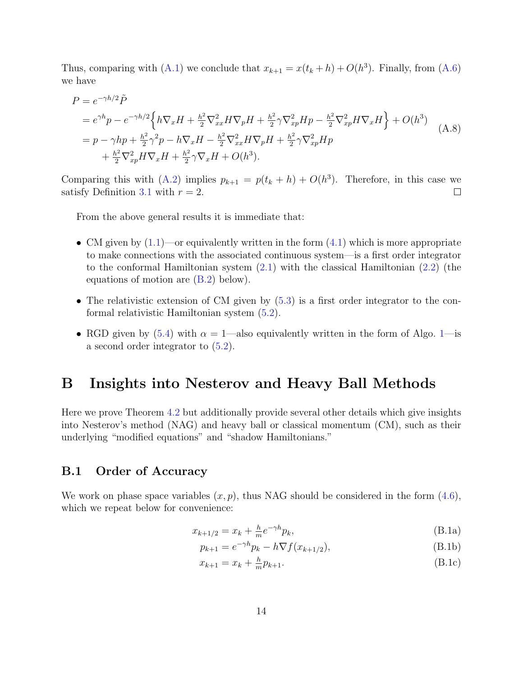Thus, comparing with (A.1) we conclude that  $x_{k+1} = x(t_k + h) + O(h^3)$ . Finally, from (A.6) we have

$$
P = e^{-\gamma h/2} \tilde{P}
$$
  
=  $e^{\gamma h} p - e^{-\gamma h/2} \left\{ h \nabla_x H + \frac{h^2}{2} \nabla_{xx}^2 H \nabla_p H + \frac{h^2}{2} \gamma \nabla_{xp}^2 H p - \frac{h^2}{2} \nabla_{xp}^2 H \nabla_x H \right\} + O(h^3)$   
=  $p - \gamma h p + \frac{h^2}{2} \gamma^2 p - h \nabla_x H - \frac{h^2}{2} \nabla_{xx}^2 H \nabla_p H + \frac{h^2}{2} \gamma \nabla_{xp}^2 H p$   
+  $\frac{h^2}{2} \nabla_{xp}^2 H \nabla_x H + \frac{h^2}{2} \gamma \nabla_x H + O(h^3).$  (A.8)

Comparing this with (A.2) implies  $p_{k+1} = p(t_k + h) + O(h^3)$ . Therefore, in this case we satisfy Definition 3.1 with  $r = 2$ .  $\Box$ 

From the above general results it is immediate that:

- CM given by  $(1.1)$ —or equivalently written in the form  $(4.1)$  which is more appropriate to make connections with the associated continuous system—is a first order integrator to the conformal Hamiltonian system (2.1) with the classical Hamiltonian (2.2) (the equations of motion are (B.2) below).
- The relativistic extension of CM given by  $(5.3)$  is a first order integrator to the conformal relativistic Hamiltonian system (5.2).
- RGD given by (5.4) with  $\alpha = 1$ —also equivalently written in the form of Algo. 1—is a second order integrator to (5.2).

## B Insights into Nesterov and Heavy Ball Methods

Here we prove Theorem 4.2 but additionally provide several other details which give insights into Nesterov's method (NAG) and heavy ball or classical momentum (CM), such as their underlying "modified equations" and "shadow Hamiltonians."

#### B.1 Order of Accuracy

We work on phase space variables  $(x, p)$ , thus NAG should be considered in the form  $(4.6)$ , which we repeat below for convenience:

$$
x_{k+1/2} = x_k + \frac{h}{m} e^{-\gamma h} p_k,
$$
 (B.1a)

$$
p_{k+1} = e^{-\gamma h} p_k - h \nabla f(x_{k+1/2}),
$$
\n(B.1b)

$$
x_{k+1} = x_k + \frac{h}{m} p_{k+1}.
$$
 (B.1c)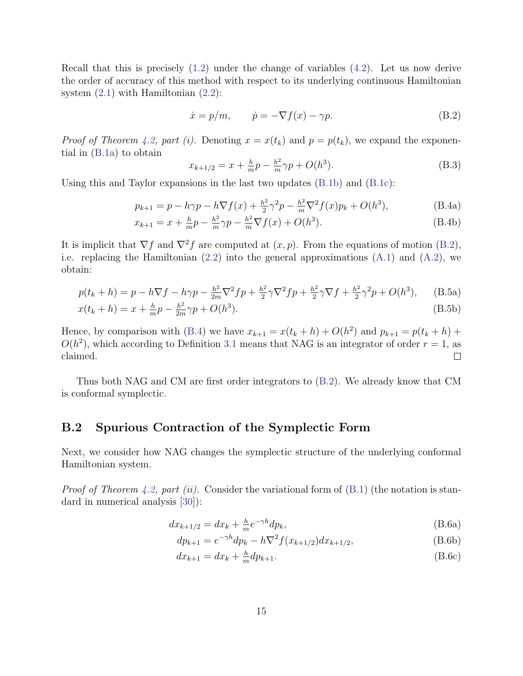Recall that this is precisely  $(1.2)$  under the change of variables  $(4.2)$ . Let us now derive the order of accuracy of this method with respect to its underlying continuous Hamiltonian system  $(2.1)$  with Hamiltonian  $(2.2)$ :

$$
\dot{x} = p/m, \qquad \dot{p} = -\nabla f(x) - \gamma p. \tag{B.2}
$$

*Proof of Theorem 4.2, part (i).* Denoting  $x = x(t_k)$  and  $p = p(t_k)$ , we expand the exponential in (B.1a) to obtain

$$
x_{k+1/2} = x + \frac{h}{m}p - \frac{h^2}{m}\gamma p + O(h^3).
$$
 (B.3)

Using this and Taylor expansions in the last two updates (B.1b) and (B.1c):

$$
p_{k+1} = p - h\gamma p - h\nabla f(x) + \frac{h^2}{2}\gamma^2 p - \frac{h^2}{m}\nabla^2 f(x)p_k + O(h^3),
$$
 (B.4a)

$$
x_{k+1} = x + \frac{h}{m}p - \frac{h^2}{m}\gamma p - \frac{h^2}{m}\nabla f(x) + O(h^3).
$$
 (B.4b)

It is implicit that  $\nabla f$  and  $\nabla^2 f$  are computed at  $(x, p)$ . From the equations of motion (B.2), i.e. replacing the Hamiltonian  $(2.2)$  into the general approximations  $(A.1)$  and  $(A.2)$ , we obtain:

$$
p(t_k + h) = p - h\nabla f - h\gamma p - \frac{h^2}{2m}\nabla^2 f p + \frac{h^2}{2}\gamma\nabla^2 f p + \frac{h^2}{2}\gamma\nabla f + \frac{h^2}{2}\gamma^2 p + O(h^3), \quad (B.5a)
$$

$$
x(t_k + h) = x + \frac{h}{m}p - \frac{h^2}{2m}\gamma p + O(h^3).
$$
 (B.5b)

Hence, by comparison with (B.4) we have  $x_{k+1} = x(t_k + h) + O(h^2)$  and  $p_{k+1} = p(t_k + h) +$  $O(h^2)$ , which according to Definition 3.1 means that NAG is an integrator of order  $r = 1$ , as claimed.  $\Box$ 

Thus both NAG and CM are first order integrators to (B.2). We already know that CM is conformal symplectic.

#### B.2 Spurious Contraction of the Symplectic Form

Next, we consider how NAG changes the symplectic structure of the underlying conformal Hamiltonian system.

*Proof of Theorem 4.2, part (ii).* Consider the variational form of  $(B.1)$  (the notation is standard in numerical analysis [30]):

$$
dx_{k+1/2} = dx_k + \frac{h}{m} e^{-\gamma h} dp_k,
$$
\n(B.6a)

$$
dp_{k+1} = e^{-\gamma h} dp_k - h \nabla^2 f(x_{k+1/2}) dx_{k+1/2},
$$
\n(B.6b)

$$
dx_{k+1} = dx_k + \frac{h}{m} dp_{k+1}.
$$
 (B.6c)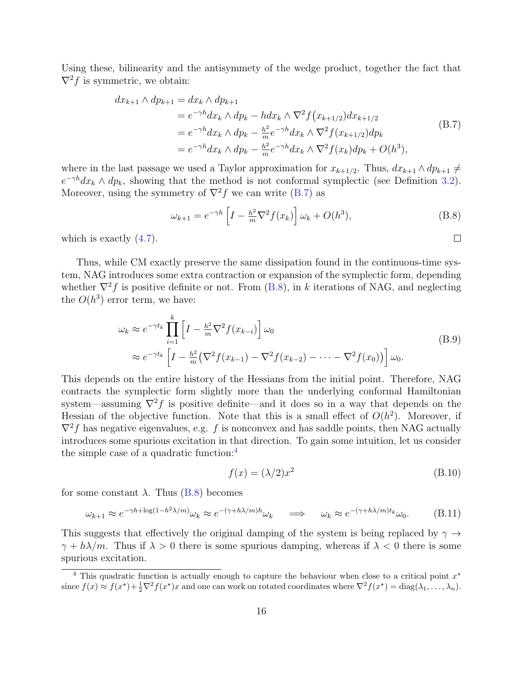Using these, bilinearity and the antisymmety of the wedge product, together the fact that  $\nabla^2 f$  is symmetric, we obtain:

$$
dx_{k+1} \wedge dp_{k+1} = dx_k \wedge dp_{k+1}
$$
  
=  $e^{-\gamma h} dx_k \wedge dp_k - h dx_k \wedge \nabla^2 f(x_{k+1/2}) dx_{k+1/2}$   
=  $e^{-\gamma h} dx_k \wedge dp_k - \frac{h^2}{m} e^{-\gamma h} dx_k \wedge \nabla^2 f(x_{k+1/2}) dp_k$   
=  $e^{-\gamma h} dx_k \wedge dp_k - \frac{h^2}{m} e^{-\gamma h} dx_k \wedge \nabla^2 f(x_k) dp_k + O(h^3),$  (B.7)

where in the last passage we used a Taylor approximation for  $x_{k+1/2}$ . Thus,  $dx_{k+1} \wedge dp_{k+1} \neq$  $e^{-\gamma h}dx_k \wedge dp_k$ , showing that the method is not conformal symplectic (see Definition 3.2). Moreover, using the symmetry of  $\nabla^2 f$  we can write (B.7) as

$$
\omega_{k+1} = e^{-\gamma h} \left[ I - \frac{h^2}{m} \nabla^2 f(x_k) \right] \omega_k + O(h^3), \tag{B.8}
$$

 $\Box$ 

which is exactly  $(4.7)$ .

Thus, while CM exactly preserve the same dissipation found in the continuous-time system, NAG introduces some extra contraction or expansion of the symplectic form, depending whether  $\nabla^2 f$  is positive definite or not. From (B.8), in k iterations of NAG, and neglecting the  $O(h^3)$  error term, we have:

$$
\omega_k \approx e^{-\gamma t_k} \prod_{i=1}^k \left[ I - \frac{\hbar^2}{m} \nabla^2 f(x_{k-i}) \right] \omega_0
$$
\n
$$
\approx e^{-\gamma t_k} \left[ I - \frac{\hbar^2}{m} \left( \nabla^2 f(x_{k-1}) - \nabla^2 f(x_{k-2}) - \dots - \nabla^2 f(x_0) \right) \right] \omega_0.
$$
\n(B.9)

This depends on the entire history of the Hessians from the initial point. Therefore, NAG contracts the symplectic form slightly more than the underlying conformal Hamiltonian system—assuming  $\nabla^2 f$  is positive definite—and it does so in a way that depends on the Hessian of the objective function. Note that this is a small effect of  $O(h^2)$ . Moreover, if  $\nabla^2 f$  has negative eigenvalues, e.g. f is nonconvex and has saddle points, then NAG actually introduces some spurious excitation in that direction. To gain some intuition, let us consider the simple case of a quadratic function:<sup>4</sup>

$$
f(x) = (\lambda/2)x^2
$$
 (B.10)

for some constant  $\lambda$ . Thus (B.8) becomes

$$
\omega_{k+1} \approx e^{-\gamma h + \log(1 - h^2 \lambda/m)} \omega_k \approx e^{-(\gamma + h\lambda/m)h} \omega_k \quad \Longrightarrow \quad \omega_k \approx e^{-(\gamma + h\lambda/m)t_k} \omega_0. \tag{B.11}
$$

This suggests that effectively the original damping of the system is being replaced by  $\gamma \rightarrow$  $\gamma + h\lambda/m$ . Thus if  $\lambda > 0$  there is some spurious damping, whereas if  $\lambda < 0$  there is some spurious excitation.

<sup>&</sup>lt;sup>4</sup> This quadratic function is actually enough to capture the behaviour when close to a critical point  $x^*$ since  $f(x) \approx f(x^*) + \frac{1}{2}\nabla^2 f(x^*)x$  and one can work on rotated coordinates where  $\nabla^2 f(x^*) = \text{diag}(\lambda_1, \dots, \lambda_n)$ .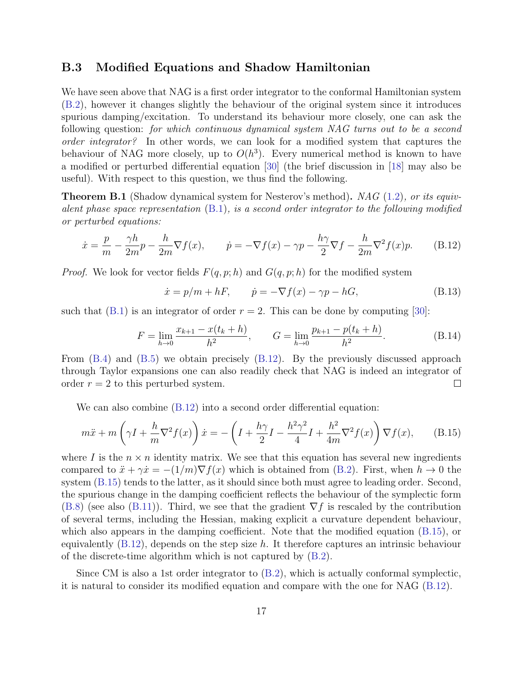#### B.3 Modified Equations and Shadow Hamiltonian

We have seen above that NAG is a first order integrator to the conformal Hamiltonian system (B.2), however it changes slightly the behaviour of the original system since it introduces spurious damping/excitation. To understand its behaviour more closely, one can ask the following question: for which continuous dynamical system NAG turns out to be a second order integrator? In other words, we can look for a modified system that captures the behaviour of NAG more closely, up to  $O(h^3)$ . Every numerical method is known to have a modified or perturbed differential equation [30] (the brief discussion in [18] may also be useful). With respect to this question, we thus find the following.

**Theorem B.1** (Shadow dynamical system for Nesterov's method). NAG (1.2), or its equivalent phase space representation  $(B.1)$ , is a second order integrator to the following modified or perturbed equations:

$$
\dot{x} = \frac{p}{m} - \frac{\gamma h}{2m}p - \frac{h}{2m}\nabla f(x), \qquad \dot{p} = -\nabla f(x) - \gamma p - \frac{h\gamma}{2}\nabla f - \frac{h}{2m}\nabla^2 f(x)p.
$$
 (B.12)

*Proof.* We look for vector fields  $F(q, p; h)$  and  $G(q, p; h)$  for the modified system

$$
\dot{x} = p/m + hF, \qquad \dot{p} = -\nabla f(x) - \gamma p - hG,\tag{B.13}
$$

such that  $(B.1)$  is an integrator of order  $r = 2$ . This can be done by computing [30]:

$$
F = \lim_{h \to 0} \frac{x_{k+1} - x(t_k + h)}{h^2}, \qquad G = \lim_{h \to 0} \frac{p_{k+1} - p(t_k + h)}{h^2}.
$$
 (B.14)

From (B.4) and (B.5) we obtain precisely (B.12). By the previously discussed approach through Taylor expansions one can also readily check that NAG is indeed an integrator of order  $r = 2$  to this perturbed system.  $\Box$ 

We can also combine  $(B.12)$  into a second order differential equation:

$$
m\ddot{x} + m\left(\gamma I + \frac{h}{m}\nabla^2 f(x)\right)\dot{x} = -\left(I + \frac{h\gamma}{2}I - \frac{h^2\gamma^2}{4}I + \frac{h^2}{4m}\nabla^2 f(x)\right)\nabla f(x),\tag{B.15}
$$

where I is the  $n \times n$  identity matrix. We see that this equation has several new ingredients compared to  $\ddot{x} + \gamma \dot{x} = -(1/m)\nabla f(x)$  which is obtained from (B.2). First, when  $h \to 0$  the system (B.15) tends to the latter, as it should since both must agree to leading order. Second, the spurious change in the damping coefficient reflects the behaviour of the symplectic form  $(B.8)$  (see also  $(B.11)$ ). Third, we see that the gradient  $\nabla f$  is rescaled by the contribution of several terms, including the Hessian, making explicit a curvature dependent behaviour, which also appears in the damping coefficient. Note that the modified equation (B.15), or equivalently  $(B.12)$ , depends on the step size h. It therefore captures an intrinsic behaviour of the discrete-time algorithm which is not captured by (B.2).

Since CM is also a 1st order integrator to (B.2), which is actually conformal symplectic, it is natural to consider its modified equation and compare with the one for NAG (B.12).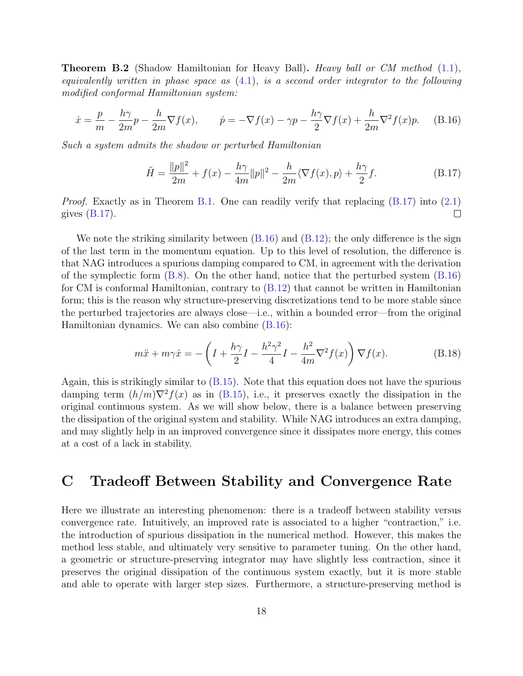**Theorem B.2** (Shadow Hamiltonian for Heavy Ball). Heavy ball or CM method (1.1), equivalently written in phase space as  $(4.1)$ , is a second order integrator to the following modified conformal Hamiltonian system:

$$
\dot{x} = \frac{p}{m} - \frac{h\gamma}{2m}p - \frac{h}{2m}\nabla f(x), \qquad \dot{p} = -\nabla f(x) - \gamma p - \frac{h\gamma}{2}\nabla f(x) + \frac{h}{2m}\nabla^2 f(x)p. \tag{B.16}
$$

Such a system admits the shadow or perturbed Hamiltonian

$$
\tilde{H} = \frac{\|p\|^2}{2m} + f(x) - \frac{h\gamma}{4m}\|p\|^2 - \frac{h}{2m}\langle \nabla f(x), p \rangle + \frac{h\gamma}{2}f. \tag{B.17}
$$

*Proof.* Exactly as in Theorem B.1. One can readily verify that replacing  $(B.17)$  into  $(2.1)$  $\Box$ gives  $(B.17)$ .

We note the striking similarity between  $(B.16)$  and  $(B.12)$ ; the only difference is the sign of the last term in the momentum equation. Up to this level of resolution, the difference is that NAG introduces a spurious damping compared to CM, in agreement with the derivation of the symplectic form (B.8). On the other hand, notice that the perturbed system (B.16) for CM is conformal Hamiltonian, contrary to (B.12) that cannot be written in Hamiltonian form; this is the reason why structure-preserving discretizations tend to be more stable since the perturbed trajectories are always close—i.e., within a bounded error—from the original Hamiltonian dynamics. We can also combine (B.16):

$$
m\ddot{x} + m\gamma \dot{x} = -\left(I + \frac{h\gamma}{2}I - \frac{h^2\gamma^2}{4}I - \frac{h^2}{4m}\nabla^2 f(x)\right)\nabla f(x).
$$
 (B.18)

Again, this is strikingly similar to (B.15). Note that this equation does not have the spurious damping term  $(h/m)\nabla^2 f(x)$  as in (B.15), i.e., it preserves exactly the dissipation in the original continuous system. As we will show below, there is a balance between preserving the dissipation of the original system and stability. While NAG introduces an extra damping, and may slightly help in an improved convergence since it dissipates more energy, this comes at a cost of a lack in stability.

# C Tradeoff Between Stability and Convergence Rate

Here we illustrate an interesting phenomenon: there is a tradeoff between stability versus convergence rate. Intuitively, an improved rate is associated to a higher "contraction," i.e. the introduction of spurious dissipation in the numerical method. However, this makes the method less stable, and ultimately very sensitive to parameter tuning. On the other hand, a geometric or structure-preserving integrator may have slightly less contraction, since it preserves the original dissipation of the continuous system exactly, but it is more stable and able to operate with larger step sizes. Furthermore, a structure-preserving method is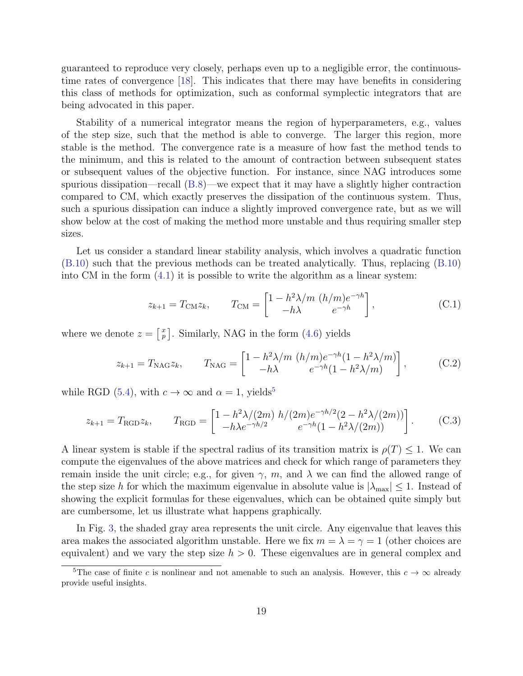guaranteed to reproduce very closely, perhaps even up to a negligible error, the continuoustime rates of convergence [18]. This indicates that there may have benefits in considering this class of methods for optimization, such as conformal symplectic integrators that are being advocated in this paper.

Stability of a numerical integrator means the region of hyperparameters, e.g., values of the step size, such that the method is able to converge. The larger this region, more stable is the method. The convergence rate is a measure of how fast the method tends to the minimum, and this is related to the amount of contraction between subsequent states or subsequent values of the objective function. For instance, since NAG introduces some spurious dissipation—recall (B.8)—we expect that it may have a slightly higher contraction compared to CM, which exactly preserves the dissipation of the continuous system. Thus, such a spurious dissipation can induce a slightly improved convergence rate, but as we will show below at the cost of making the method more unstable and thus requiring smaller step sizes.

Let us consider a standard linear stability analysis, which involves a quadratic function (B.10) such that the previous methods can be treated analytically. Thus, replacing (B.10) into CM in the form  $(4.1)$  it is possible to write the algorithm as a linear system:

$$
z_{k+1} = T_{\text{CM}} z_k, \qquad T_{\text{CM}} = \begin{bmatrix} 1 - h^2 \lambda / m \ (h/m) e^{-\gamma h} \\ -h \lambda \end{bmatrix}, \tag{C.1}
$$

where we denote  $z = \begin{bmatrix} x \\ p \end{bmatrix}$ . Similarly, NAG in the form (4.6) yields

$$
z_{k+1} = T_{\text{NAG}} z_k, \qquad T_{\text{NAG}} = \begin{bmatrix} 1 - h^2 \lambda / m \ (h/m) e^{-\gamma h} (1 - h^2 \lambda / m) \\ -h \lambda & e^{-\gamma h} (1 - h^2 \lambda / m) \end{bmatrix}, \tag{C.2}
$$

while RGD (5.4), with  $c \to \infty$  and  $\alpha = 1$ , yields<sup>5</sup>

$$
z_{k+1} = T_{\text{RGB}} z_k, \qquad T_{\text{RGB}} = \begin{bmatrix} 1 - \frac{h^2 \lambda}{2m} \frac{h}{2m} \frac{h}{2m} e^{-\gamma h/2} (2 - \frac{h^2 \lambda}{2m}) \\ -\frac{h \lambda e^{-\gamma h/2}}{2m} \frac{e^{-\gamma h}}{2m} (1 - \frac{h^2 \lambda}{2m}) \end{bmatrix}.
$$
 (C.3)

A linear system is stable if the spectral radius of its transition matrix is  $\rho(T) \leq 1$ . We can compute the eigenvalues of the above matrices and check for which range of parameters they remain inside the unit circle; e.g., for given  $\gamma$ , m, and  $\lambda$  we can find the allowed range of the step size h for which the maximum eigenvalue in absolute value is  $|\lambda_{\text{max}}| \leq 1$ . Instead of showing the explicit formulas for these eigenvalues, which can be obtained quite simply but are cumbersome, let us illustrate what happens graphically.

In Fig. 3, the shaded gray area represents the unit circle. Any eigenvalue that leaves this area makes the associated algorithm unstable. Here we fix  $m = \lambda = \gamma = 1$  (other choices are equivalent) and we vary the step size  $h > 0$ . These eigenvalues are in general complex and

<sup>&</sup>lt;sup>5</sup>The case of finite c is nonlinear and not amenable to such an analysis. However, this  $c \to \infty$  already provide useful insights.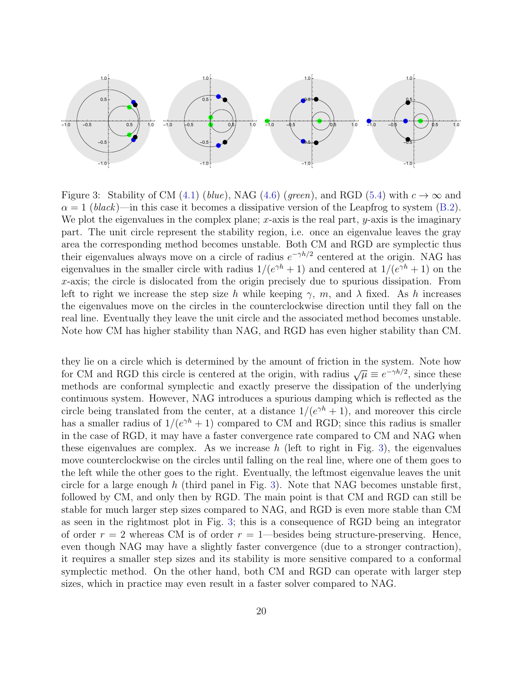

Figure 3: Stability of CM (4.1) (blue), NAG (4.6) (green), and RGD (5.4) with  $c \to \infty$  and  $\alpha = 1$  (black)—in this case it becomes a dissipative version of the Leapfrog to system (B.2). We plot the eigenvalues in the complex plane; x-axis is the real part,  $y$ -axis is the imaginary part. The unit circle represent the stability region, i.e. once an eigenvalue leaves the gray area the corresponding method becomes unstable. Both CM and RGD are symplectic thus their eigenvalues always move on a circle of radius  $e^{-\gamma h/2}$  centered at the origin. NAG has eigenvalues in the smaller circle with radius  $1/(e^{\gamma h}+1)$  and centered at  $1/(e^{\gamma h}+1)$  on the x-axis; the circle is dislocated from the origin precisely due to spurious dissipation. From left to right we increase the step size h while keeping  $\gamma$ , m, and  $\lambda$  fixed. As h increases the eigenvalues move on the circles in the counterclockwise direction until they fall on the real line. Eventually they leave the unit circle and the associated method becomes unstable. Note how CM has higher stability than NAG, and RGD has even higher stability than CM.

they lie on a circle which is determined by the amount of friction in the system. Note how for CM and RGD this circle is centered at the origin, with radius  $\sqrt{\mu} \equiv e^{-\gamma h/2}$ , since these methods are conformal symplectic and exactly preserve the dissipation of the underlying continuous system. However, NAG introduces a spurious damping which is reflected as the circle being translated from the center, at a distance  $1/(e^{\gamma h}+1)$ , and moreover this circle has a smaller radius of  $1/(e^{\gamma h}+1)$  compared to CM and RGD; since this radius is smaller in the case of RGD, it may have a faster convergence rate compared to CM and NAG when these eigenvalues are complex. As we increase  $h$  (left to right in Fig. 3), the eigenvalues move counterclockwise on the circles until falling on the real line, where one of them goes to the left while the other goes to the right. Eventually, the leftmost eigenvalue leaves the unit circle for a large enough  $h$  (third panel in Fig. 3). Note that NAG becomes unstable first, followed by CM, and only then by RGD. The main point is that CM and RGD can still be stable for much larger step sizes compared to NAG, and RGD is even more stable than CM as seen in the rightmost plot in Fig. 3; this is a consequence of RGD being an integrator of order  $r = 2$  whereas CM is of order  $r = 1$ —besides being structure-preserving. Hence, even though NAG may have a slightly faster convergence (due to a stronger contraction), it requires a smaller step sizes and its stability is more sensitive compared to a conformal symplectic method. On the other hand, both CM and RGD can operate with larger step sizes, which in practice may even result in a faster solver compared to NAG.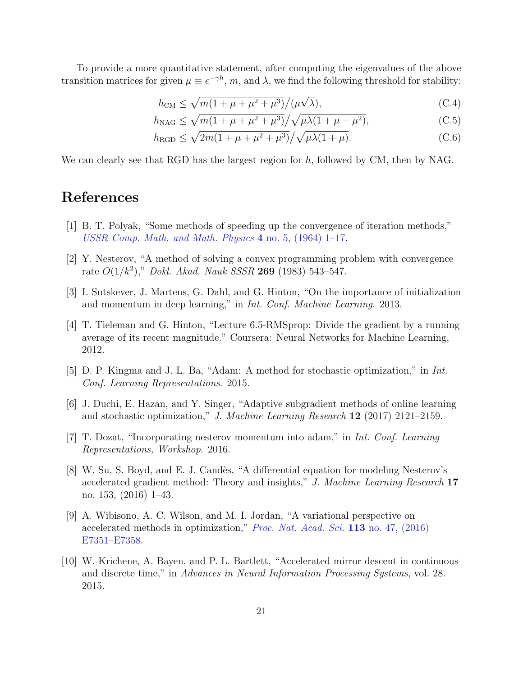To provide a more quantitative statement, after computing the eigenvalues of the above transition matrices for given  $\mu \equiv e^{-\gamma h}$ ,  $m$ , and  $\lambda$ , we find the following threshold for stability:

$$
h_{\rm CM} \le \sqrt{m(1+\mu+\mu^2+\mu^3)}/(\mu\sqrt{\lambda}),\tag{C.4}
$$

$$
h_{\rm NAG} \le \sqrt{m(1 + \mu + \mu^2 + \mu^3)} / \sqrt{\mu \lambda (1 + \mu + \mu^2)},
$$
 (C.5)

$$
h_{\text{RGD}} \le \sqrt{2m(1+\mu+\mu^2+\mu^3)} / \sqrt{\mu\lambda(1+\mu)}.
$$
 (C.6)

We can clearly see that RGD has the largest region for  $h$ , followed by CM, then by NAG.

#### References

- [1] B. T. Polyak, "Some methods of speeding up the convergence of iteration methods," USSR Comp. Math. and Math. Physics  $4$  no. 5, (1964) 1–17.
- [2] Y. Nesterov, "A method of solving a convex programming problem with convergence rate  $O(1/k^2)$ ," Dokl. Akad. Nauk SSSR 269 (1983) 543-547.
- [3] I. Sutskever, J. Martens, G. Dahl, and G. Hinton, "On the importance of initialization and momentum in deep learning," in Int. Conf. Machine Learning. 2013.
- [4] T. Tieleman and G. Hinton, "Lecture 6.5-RMSprop: Divide the gradient by a running average of its recent magnitude." Coursera: Neural Networks for Machine Learning, 2012.
- [5] D. P. Kingma and J. L. Ba, "Adam: A method for stochastic optimization," in Int. Conf. Learning Representations. 2015.
- [6] J. Duchi, E. Hazan, and Y. Singer, "Adaptive subgradient methods of online learning and stochastic optimization," J. Machine Learning Research  $12$  (2017) 2121–2159.
- [7] T. Dozat, "Incorporating nesterov momentum into adam," in Int. Conf. Learning Representations, Workshop. 2016.
- [8] W. Su, S. Boyd, and E. J. Candès, "A differential equation for modeling Nesterov's accelerated gradient method: Theory and insights," J. Machine Learning Research 17 no. 153, (2016) 1–43.
- [9] A. Wibisono, A. C. Wilson, and M. I. Jordan, "A variational perspective on accelerated methods in optimization," Proc. Nat. Acad. Sci. 113 no. 47, (2016) E7351–E7358.
- [10] W. Krichene, A. Bayen, and P. L. Bartlett, "Accelerated mirror descent in continuous and discrete time," in Advances in Neural Information Processing Systems, vol. 28. 2015.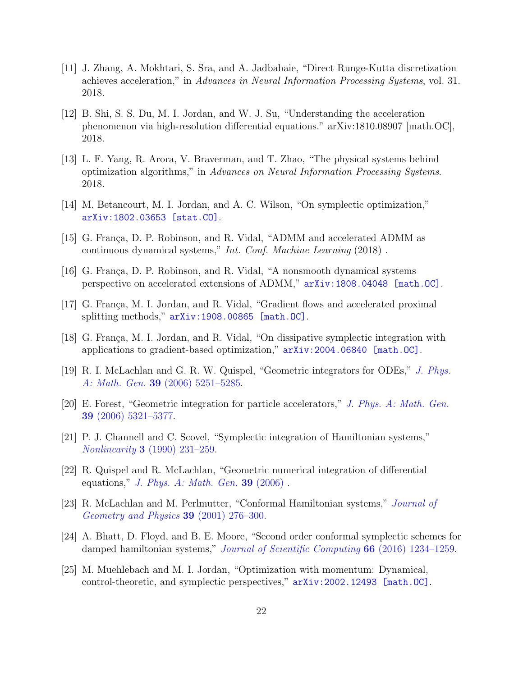- [11] J. Zhang, A. Mokhtari, S. Sra, and A. Jadbabaie, "Direct Runge-Kutta discretization achieves acceleration," in Advances in Neural Information Processing Systems, vol. 31. 2018.
- [12] B. Shi, S. S. Du, M. I. Jordan, and W. J. Su, "Understanding the acceleration phenomenon via high-resolution differential equations." arXiv:1810.08907 [math.OC], 2018.
- [13] L. F. Yang, R. Arora, V. Braverman, and T. Zhao, "The physical systems behind optimization algorithms," in Advances on Neural Information Processing Systems. 2018.
- [14] M. Betancourt, M. I. Jordan, and A. C. Wilson, "On symplectic optimization," arXiv:1802.03653 [stat.CO].
- [15] G. França, D. P. Robinson, and R. Vidal, "ADMM and accelerated ADMM as continuous dynamical systems," Int. Conf. Machine Learning (2018) .
- [16] G. França, D. P. Robinson, and R. Vidal, "A nonsmooth dynamical systems perspective on accelerated extensions of ADMM," arXiv:1808.04048 [math.OC].
- [17] G. França, M. I. Jordan, and R. Vidal, "Gradient flows and accelerated proximal splitting methods," arXiv:1908.00865 [math.OC].
- [18] G. França, M. I. Jordan, and R. Vidal, "On dissipative symplectic integration with applications to gradient-based optimization," arXiv:2004.06840 [math.OC].
- [19] R. I. McLachlan and G. R. W. Quispel, "Geometric integrators for ODEs," J. Phys. A: Math. Gen. 39 (2006) 5251–5285.
- [20] E. Forest, "Geometric integration for particle accelerators," J. Phys. A: Math. Gen. 39 (2006) 5321–5377.
- [21] P. J. Channell and C. Scovel, "Symplectic integration of Hamiltonian systems," Nonlinearity 3 (1990) 231–259.
- [22] R. Quispel and R. McLachlan, "Geometric numerical integration of differential equations," J. Phys.  $A: Math. Gen. 39 (2006)$ .
- [23] R. McLachlan and M. Perlmutter, "Conformal Hamiltonian systems," Journal of Geometry and Physics 39 (2001) 276–300.
- [24] A. Bhatt, D. Floyd, and B. E. Moore, "Second order conformal symplectic schemes for damped hamiltonian systems," Journal of Scientific Computing 66 (2016) 1234-1259.
- [25] M. Muehlebach and M. I. Jordan, "Optimization with momentum: Dynamical, control-theoretic, and symplectic perspectives," arXiv:2002.12493 [math.OC].